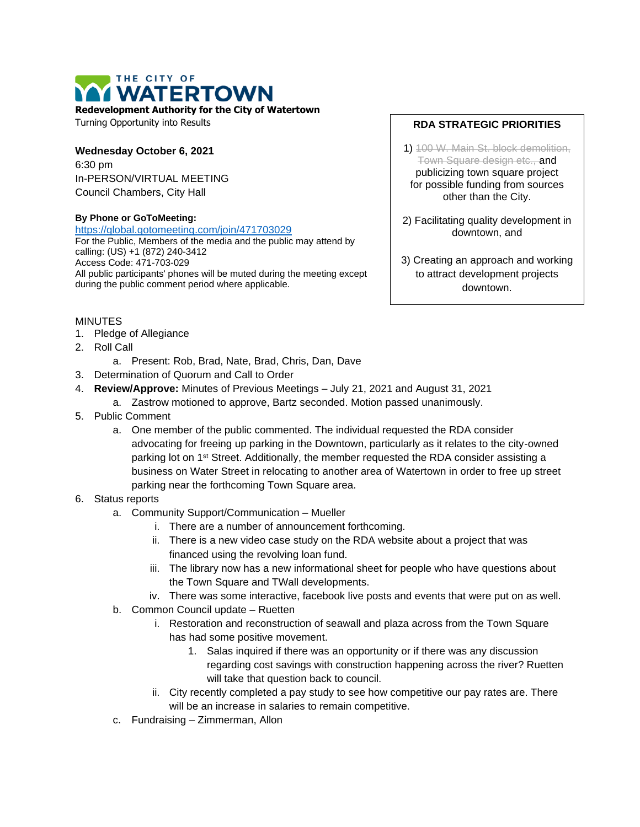# THE CITY OF **WATERTOWN**

**Redevelopment Authority for the City of Watertown**

Turning Opportunity into Results

### **Wednesday October 6, 2021** 6:30 pm In-PERSON/VIRTUAL MEETING Council Chambers, City Hall

#### **By Phone or GoToMeeting:**

<https://global.gotomeeting.com/join/471703029>

For the Public, Members of the media and the public may attend by calling: (US) +1 (872) 240-3412 Access Code: 471-703-029 All public participants' phones will be muted during the meeting except during the public comment period where applicable.

# MINUTES

- 1. Pledge of Allegiance
- 2. Roll Call
	- a. Present: Rob, Brad, Nate, Brad, Chris, Dan, Dave
- 3. Determination of Quorum and Call to Order
- 4. **Review/Approve:** Minutes of Previous Meetings July 21, 2021 and August 31, 2021
	- a. Zastrow motioned to approve, Bartz seconded. Motion passed unanimously.
- 5. Public Comment
	- a. One member of the public commented. The individual requested the RDA consider advocating for freeing up parking in the Downtown, particularly as it relates to the city-owned parking lot on 1<sup>st</sup> Street. Additionally, the member requested the RDA consider assisting a business on Water Street in relocating to another area of Watertown in order to free up street parking near the forthcoming Town Square area.

### 6. Status reports

- a. Community Support/Communication Mueller
	- i. There are a number of announcement forthcoming.
	- ii. There is a new video case study on the RDA website about a project that was financed using the revolving loan fund.
	- iii. The library now has a new informational sheet for people who have questions about the Town Square and TWall developments.
	- iv. There was some interactive, facebook live posts and events that were put on as well.
- b. Common Council update Ruetten
	- i. Restoration and reconstruction of seawall and plaza across from the Town Square has had some positive movement.
		- 1. Salas inquired if there was an opportunity or if there was any discussion regarding cost savings with construction happening across the river? Ruetten will take that question back to council.
	- ii. City recently completed a pay study to see how competitive our pay rates are. There will be an increase in salaries to remain competitive.
- c. Fundraising Zimmerman, Allon

# **RDA STRATEGIC PRIORITIES**

1) 100 W. Main St. block demolition, Town Square design etc., and publicizing town square project for possible funding from sources other than the City.

2) Facilitating quality development in downtown, and

3) Creating an approach and working to attract development projects downtown.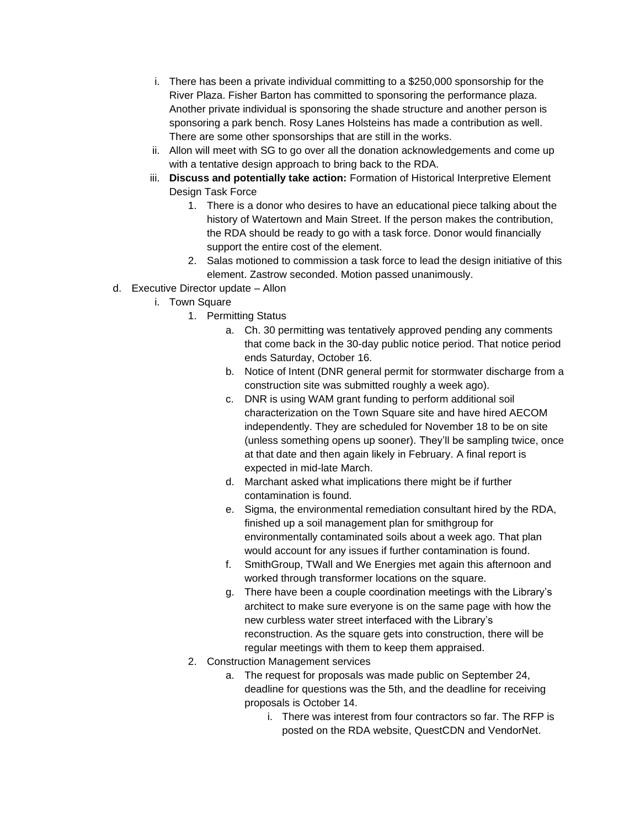- i. There has been a private individual committing to a \$250,000 sponsorship for the River Plaza. Fisher Barton has committed to sponsoring the performance plaza. Another private individual is sponsoring the shade structure and another person is sponsoring a park bench. Rosy Lanes Holsteins has made a contribution as well. There are some other sponsorships that are still in the works.
- ii. Allon will meet with SG to go over all the donation acknowledgements and come up with a tentative design approach to bring back to the RDA.
- iii. **Discuss and potentially take action:** Formation of Historical Interpretive Element Design Task Force
	- 1. There is a donor who desires to have an educational piece talking about the history of Watertown and Main Street. If the person makes the contribution, the RDA should be ready to go with a task force. Donor would financially support the entire cost of the element.
	- 2. Salas motioned to commission a task force to lead the design initiative of this element. Zastrow seconded. Motion passed unanimously.
- d. Executive Director update Allon
	- i. Town Square
		- 1. Permitting Status
			- a. Ch. 30 permitting was tentatively approved pending any comments that come back in the 30-day public notice period. That notice period ends Saturday, October 16.
			- b. Notice of Intent (DNR general permit for stormwater discharge from a construction site was submitted roughly a week ago).
			- c. DNR is using WAM grant funding to perform additional soil characterization on the Town Square site and have hired AECOM independently. They are scheduled for November 18 to be on site (unless something opens up sooner). They'll be sampling twice, once at that date and then again likely in February. A final report is expected in mid-late March.
			- d. Marchant asked what implications there might be if further contamination is found.
			- e. Sigma, the environmental remediation consultant hired by the RDA, finished up a soil management plan for smithgroup for environmentally contaminated soils about a week ago. That plan would account for any issues if further contamination is found.
			- f. SmithGroup, TWall and We Energies met again this afternoon and worked through transformer locations on the square.
			- g. There have been a couple coordination meetings with the Library's architect to make sure everyone is on the same page with how the new curbless water street interfaced with the Library's reconstruction. As the square gets into construction, there will be regular meetings with them to keep them appraised.
		- 2. Construction Management services
			- a. The request for proposals was made public on September 24, deadline for questions was the 5th, and the deadline for receiving proposals is October 14.
				- i. There was interest from four contractors so far. The RFP is posted on the RDA website, QuestCDN and VendorNet.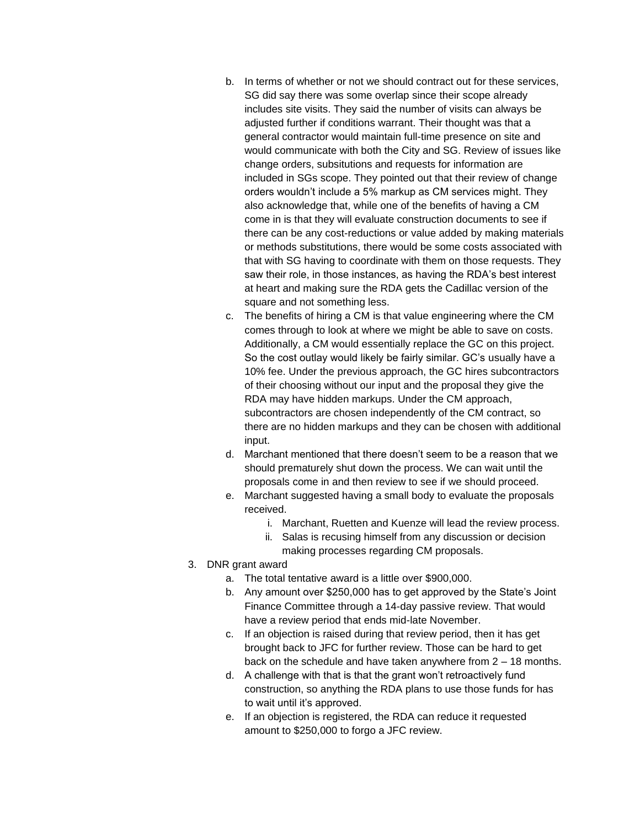- b. In terms of whether or not we should contract out for these services, SG did say there was some overlap since their scope already includes site visits. They said the number of visits can always be adjusted further if conditions warrant. Their thought was that a general contractor would maintain full-time presence on site and would communicate with both the City and SG. Review of issues like change orders, subsitutions and requests for information are included in SGs scope. They pointed out that their review of change orders wouldn't include a 5% markup as CM services might. They also acknowledge that, while one of the benefits of having a CM come in is that they will evaluate construction documents to see if there can be any cost-reductions or value added by making materials or methods substitutions, there would be some costs associated with that with SG having to coordinate with them on those requests. They saw their role, in those instances, as having the RDA's best interest at heart and making sure the RDA gets the Cadillac version of the square and not something less.
- c. The benefits of hiring a CM is that value engineering where the CM comes through to look at where we might be able to save on costs. Additionally, a CM would essentially replace the GC on this project. So the cost outlay would likely be fairly similar. GC's usually have a 10% fee. Under the previous approach, the GC hires subcontractors of their choosing without our input and the proposal they give the RDA may have hidden markups. Under the CM approach, subcontractors are chosen independently of the CM contract, so there are no hidden markups and they can be chosen with additional input.
- d. Marchant mentioned that there doesn't seem to be a reason that we should prematurely shut down the process. We can wait until the proposals come in and then review to see if we should proceed.
- e. Marchant suggested having a small body to evaluate the proposals received.
	- i. Marchant, Ruetten and Kuenze will lead the review process.
	- ii. Salas is recusing himself from any discussion or decision making processes regarding CM proposals.
- 3. DNR grant award
	- a. The total tentative award is a little over \$900,000.
	- b. Any amount over \$250,000 has to get approved by the State's Joint Finance Committee through a 14-day passive review. That would have a review period that ends mid-late November.
	- c. If an objection is raised during that review period, then it has get brought back to JFC for further review. Those can be hard to get back on the schedule and have taken anywhere from 2 – 18 months.
	- d. A challenge with that is that the grant won't retroactively fund construction, so anything the RDA plans to use those funds for has to wait until it's approved.
	- e. If an objection is registered, the RDA can reduce it requested amount to \$250,000 to forgo a JFC review.